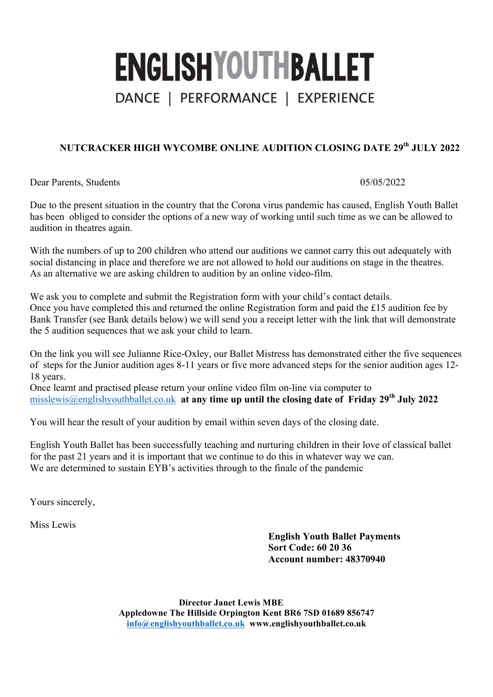## **ENGLISHYOUTHBALLET** DANCE | PERFORMANCE | EXPERIENCE

## **NUTCRACKER HIGH WYCOMBE ONLINE AUDITION CLOSING DATE 29th JULY 2022**

Dear Parents, Students 05/05/2022

Due to the present situation in the country that the Corona virus pandemic has caused, English Youth Ballet has been obliged to consider the options of a new way of working until such time as we can be allowed to audition in theatres again.

With the numbers of up to 200 children who attend our auditions we cannot carry this out adequately with social distancing in place and therefore we are not allowed to hold our auditions on stage in the theatres. As an alternative we are asking children to audition by an online video-film.

We ask you to complete and submit the Registration form with your child's contact details. Once you have completed this and returned the online Registration form and paid the £15 audition fee by Bank Transfer (see Bank details below) we will send you a receipt letter with the link that will demonstrate the 5 audition sequences that we ask your child to learn.

On the link you will see Julianne Rice-Oxley, our Ballet Mistress has demonstrated either the five sequences of steps for the Junior audition ages 8-11 years or five more advanced steps for the senior audition ages 12- 18 years.

Once learnt and practised please return your online video film on-line via computer to misslewis@englishyouthballet.co.uk **at any time up until the closing date of Friday 29th July 2022**

You will hear the result of your audition by email within seven days of the closing date.

English Youth Ballet has been successfully teaching and nurturing children in their love of classical ballet for the past 21 years and it is important that we continue to do this in whatever way we can. We are determined to sustain EYB's activities through to the finale of the pandemic

Yours sincerely,

Miss Lewis

**English Youth Ballet Payments Sort Code: 60 20 36 Account number: 48370940**

**Director Janet Lewis MBE Appledowne The Hillside Orpington Kent BR6 7SD 01689 856747 info@englishyouthballet.co.uk www.englishyouthballet.co.uk**